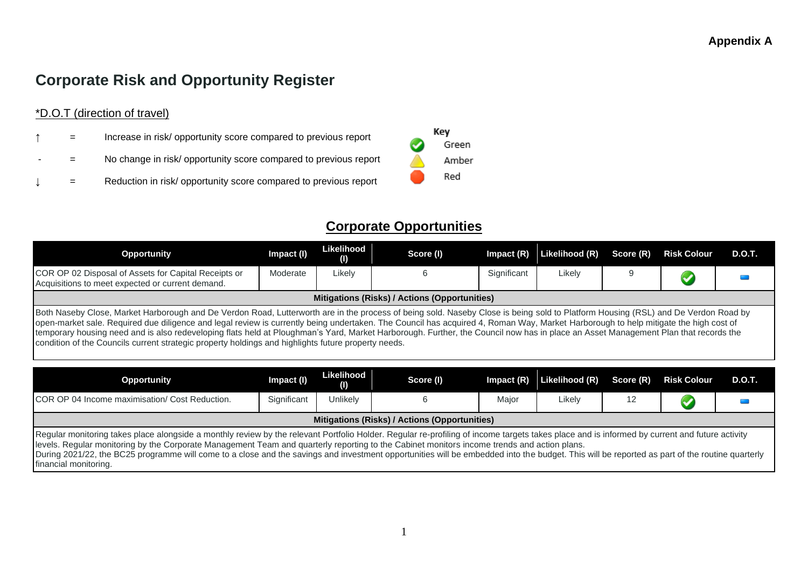# **Corporate Risk and Opportunity Register**

\*D.O.T (direction of travel)

- $=$  Increase in risk/ opportunity score compared to previous report
- = No change in risk/ opportunity score compared to previous report
- $=$  Reduction in risk/ opportunity score compared to previous report



## **Corporate Opportunities**

| <b>Opportunity</b>                                                                                                                                                                                                                                                                                                                                                                                                                                                                                                                                                                                                                                                    | Impact (I)  | Likelihood<br>$\left( 0\right)$ | Score (I) | $Im$ pact $(R)$ | Likelihood (R) | Score (R) | <b>Risk Colour</b> | <b>D.O.T.</b> |
|-----------------------------------------------------------------------------------------------------------------------------------------------------------------------------------------------------------------------------------------------------------------------------------------------------------------------------------------------------------------------------------------------------------------------------------------------------------------------------------------------------------------------------------------------------------------------------------------------------------------------------------------------------------------------|-------------|---------------------------------|-----------|-----------------|----------------|-----------|--------------------|---------------|
| COR OP 02 Disposal of Assets for Capital Receipts or<br>Acquisitions to meet expected or current demand.                                                                                                                                                                                                                                                                                                                                                                                                                                                                                                                                                              | Moderate    | Likely                          | 6         | Significant     | Likely         | 9         |                    |               |
| Mitigations (Risks) / Actions (Opportunities)                                                                                                                                                                                                                                                                                                                                                                                                                                                                                                                                                                                                                         |             |                                 |           |                 |                |           |                    |               |
| Both Naseby Close, Market Harborough and De Verdon Road, Lutterworth are in the process of being sold. Naseby Close is being sold to Platform Housing (RSL) and De Verdon Road by<br>open-market sale. Required due diligence and legal review is currently being undertaken. The Council has acquired 4, Roman Way, Market Harborough to help mitigate the high cost of<br>temporary housing need and is also redeveloping flats held at Ploughman's Yard, Market Harborough. Further, the Council now has in place an Asset Management Plan that records the<br>condition of the Councils current strategic property holdings and highlights future property needs. |             |                                 |           |                 |                |           |                    |               |
| <b>Opportunity</b>                                                                                                                                                                                                                                                                                                                                                                                                                                                                                                                                                                                                                                                    | Impact (I)  | Likelihood<br>(1)               | Score (I) | Impact $(R)$    | Likelihood (R) | Score (R) | <b>Risk Colour</b> | <b>D.O.T.</b> |
| COR OP 04 Income maximisation/ Cost Reduction.                                                                                                                                                                                                                                                                                                                                                                                                                                                                                                                                                                                                                        | Significant | Unlikely                        | 6         | Major           | Likely         | 12        |                    |               |

Regular monitoring takes place alongside a monthly review by the relevant Portfolio Holder. Regular re-profiling of income targets takes place and is informed by current and future activity levels. Regular monitoring by the Corporate Management Team and quarterly reporting to the Cabinet monitors income trends and action plans. During 2021/22, the BC25 programme will come to a close and the savings and investment opportunities will be embedded into the budget. This will be reported as part of the routine quarterly financial monitoring.

**Mitigations (Risks) / Actions (Opportunities)**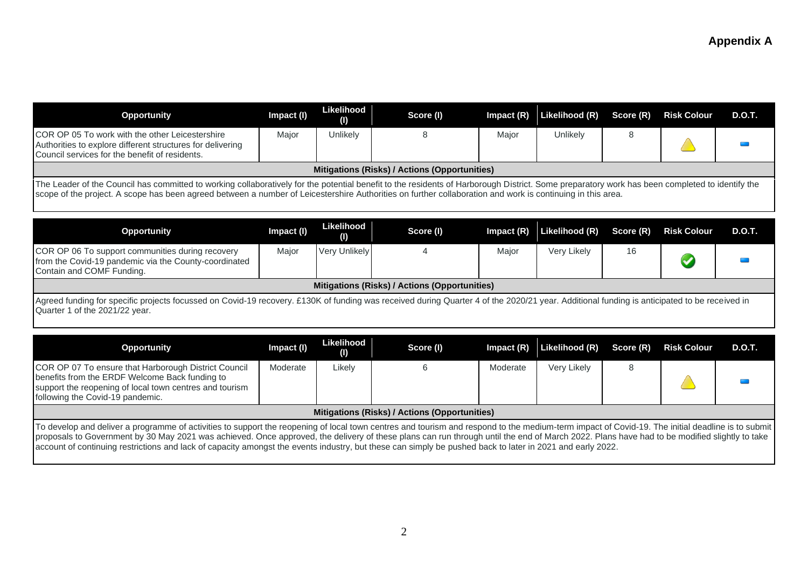| <b>Opportunity</b>                                                                                                                                                                                                                                                                                                                                           | Impact (I) | Likelihood<br>$\left( 0\right)$ | Score (I)                                     | Impact (R) | Likelihood (R) | Score (R) | <b>Risk Colour</b>   | <b>D.O.T.</b> |  |  |
|--------------------------------------------------------------------------------------------------------------------------------------------------------------------------------------------------------------------------------------------------------------------------------------------------------------------------------------------------------------|------------|---------------------------------|-----------------------------------------------|------------|----------------|-----------|----------------------|---------------|--|--|
| COR OP 05 To work with the other Leicestershire<br>Authorities to explore different structures for delivering<br>Council services for the benefit of residents.                                                                                                                                                                                              | Major      | Unlikely                        | 8                                             | Major      | Unlikely       | 8         |                      |               |  |  |
|                                                                                                                                                                                                                                                                                                                                                              |            |                                 | Mitigations (Risks) / Actions (Opportunities) |            |                |           |                      |               |  |  |
| The Leader of the Council has committed to working collaboratively for the potential benefit to the residents of Harborough District. Some preparatory work has been completed to identify the<br>scope of the project. A scope has been agreed between a number of Leicestershire Authorities on further collaboration and work is continuing in this area. |            |                                 |                                               |            |                |           |                      |               |  |  |
| <b>Opportunity</b>                                                                                                                                                                                                                                                                                                                                           | Impact (I) | Likelihood<br>(1)               | Score (I)                                     | Impact (R) | Likelihood (R) | Score (R) | <b>Risk Colour</b>   | <b>D.O.T.</b> |  |  |
| COR OP 06 To support communities during recovery<br>from the Covid-19 pandemic via the County-coordinated<br>Contain and COMF Funding.                                                                                                                                                                                                                       | Major      | Very Unlikely                   | 4                                             | Major      | Very Likely    | 16        | $\blacktriangledown$ |               |  |  |
|                                                                                                                                                                                                                                                                                                                                                              |            |                                 | Mitigations (Risks) / Actions (Opportunities) |            |                |           |                      |               |  |  |
| Agreed funding for specific projects focussed on Covid-19 recovery. £130K of funding was received during Quarter 4 of the 2020/21 year. Additional funding is anticipated to be received in<br>Quarter 1 of the 2021/22 year.                                                                                                                                |            |                                 |                                               |            |                |           |                      |               |  |  |
| <b>Opportunity</b>                                                                                                                                                                                                                                                                                                                                           | Impact (I) | Likelihood<br>(1)               | Score (I)                                     | Impact (R) | Likelihood (R) | Score (R) | <b>Risk Colour</b>   | <b>D.O.T.</b> |  |  |
| COR OP 07 To ensure that Harborough District Council<br>benefits from the ERDF Welcome Back funding to<br>support the reopening of local town centres and tourism                                                                                                                                                                                            | Moderate   | Likely                          | 6                                             | Moderate   | Very Likely    | 8         |                      |               |  |  |

| support the reopening of local town centres and tourism<br>following the Covid-19 pandemic.                                                                                                                                                                                                                                                                                                                                                                                                                                                                  |  |                                               |  |  |  |
|--------------------------------------------------------------------------------------------------------------------------------------------------------------------------------------------------------------------------------------------------------------------------------------------------------------------------------------------------------------------------------------------------------------------------------------------------------------------------------------------------------------------------------------------------------------|--|-----------------------------------------------|--|--|--|
|                                                                                                                                                                                                                                                                                                                                                                                                                                                                                                                                                              |  | Mitigations (Risks) / Actions (Opportunities) |  |  |  |
| To develop and deliver a programme of activities to support the reopening of local town centres and tourism and respond to the medium-term impact of Covid-19. The initial deadline is to submit<br>proposals to Government by 30 May 2021 was achieved. Once approved, the delivery of these plans can run through until the end of March 2022. Plans have had to be modified slightly to take<br>account of continuing restrictions and lack of capacity amongst the events industry, but these can simply be pushed back to later in 2021 and early 2022. |  |                                               |  |  |  |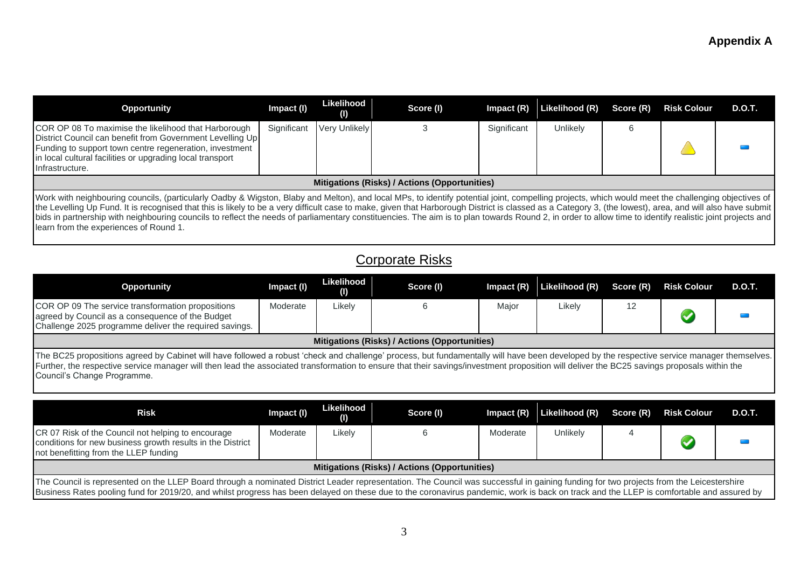| <b>Opportunity</b>                                                                                                                                                                                                                                                                                                                                                                                                                                                                                                                                                                                                                                                    | Impact (I)  | Likelihood<br>(1)    | Score (I)                                     | $Im$ pact $(R)$ | Likelihood (R) | Score (R) | <b>Risk Colour</b> | D.O.T. |
|-----------------------------------------------------------------------------------------------------------------------------------------------------------------------------------------------------------------------------------------------------------------------------------------------------------------------------------------------------------------------------------------------------------------------------------------------------------------------------------------------------------------------------------------------------------------------------------------------------------------------------------------------------------------------|-------------|----------------------|-----------------------------------------------|-----------------|----------------|-----------|--------------------|--------|
| COR OP 08 To maximise the likelihood that Harborough<br>District Council can benefit from Government Levelling Up<br>Funding to support town centre regeneration, investment<br>in local cultural facilities or upgrading local transport<br>Infrastructure.                                                                                                                                                                                                                                                                                                                                                                                                          | Significant | <b>Very Unlikely</b> |                                               | Significant     | Unlikelv       |           |                    |        |
|                                                                                                                                                                                                                                                                                                                                                                                                                                                                                                                                                                                                                                                                       |             |                      | Mitigations (Risks) / Actions (Opportunities) |                 |                |           |                    |        |
| Work with neighbouring councils, (particularly Oadby & Wigston, Blaby and Melton), and local MPs, to identify potential joint, compelling projects, which would meet the challenging objectives of<br>the Levelling Up Fund. It is recognised that this is likely to be a very difficult case to make, given that Harborough District is classed as a Category 3, (the lowest), area, and will also have submit<br>bids in partnership with neighbouring councils to reflect the needs of parliamentary constituencies. The aim is to plan towards Round 2, in order to allow time to identify realistic joint projects and<br>learn from the experiences of Round 1. |             |                      |                                               |                 |                |           |                    |        |

# Corporate Risks

| <b>Opportunity</b>                                                                                                                                                                                                                                                                                                                                                                                                        | Impact (I) | Likelihood<br>(1) | Score (I)                                     | Impact $(R)$ | Likelihood (R) | Score (R) | <b>Risk Colour</b> | D.O.T. |
|---------------------------------------------------------------------------------------------------------------------------------------------------------------------------------------------------------------------------------------------------------------------------------------------------------------------------------------------------------------------------------------------------------------------------|------------|-------------------|-----------------------------------------------|--------------|----------------|-----------|--------------------|--------|
| COR OP 09 The service transformation propositions<br>agreed by Council as a consequence of the Budget<br>Challenge 2025 programme deliver the required savings.                                                                                                                                                                                                                                                           | Moderate   | ∟ikely            |                                               | Major        | Likely         | 12        |                    |        |
|                                                                                                                                                                                                                                                                                                                                                                                                                           |            |                   | Mitigations (Risks) / Actions (Opportunities) |              |                |           |                    |        |
| The BC25 propositions agreed by Cabinet will have followed a robust 'check and challenge' process, but fundamentally will have been developed by the respective service manager themselves.<br>Further, the respective service manager will then lead the associated transformation to ensure that their savings/investment proposition will deliver the BC25 savings proposals within the<br>Council's Change Programme. |            |                   |                                               |              |                |           |                    |        |

| <b>Risk</b>                                                                                                                                                                                                                                                                                                                                                                         | Impact (I) | Likelihood<br>(1) | Score (I)                                     | Impact $(R)$ | Likelihood (R) Score (R) Risk Colour |  |  | D.O.T. |
|-------------------------------------------------------------------------------------------------------------------------------------------------------------------------------------------------------------------------------------------------------------------------------------------------------------------------------------------------------------------------------------|------------|-------------------|-----------------------------------------------|--------------|--------------------------------------|--|--|--------|
| CR 07 Risk of the Council not helping to encourage<br>conditions for new business growth results in the District<br>not benefitting from the LLEP funding                                                                                                                                                                                                                           | Moderate   | ∟ikelv            |                                               | Moderate     | Unlikely                             |  |  |        |
|                                                                                                                                                                                                                                                                                                                                                                                     |            |                   | Mitigations (Risks) / Actions (Opportunities) |              |                                      |  |  |        |
| The Council is represented on the LLEP Board through a nominated District Leader representation. The Council was successful in gaining funding for two projects from the Leicestershire<br>Business Rates pooling fund for 2019/20, and whilst progress has been delayed on these due to the coronavirus pandemic, work is back on track and the LLEP is comfortable and assured by |            |                   |                                               |              |                                      |  |  |        |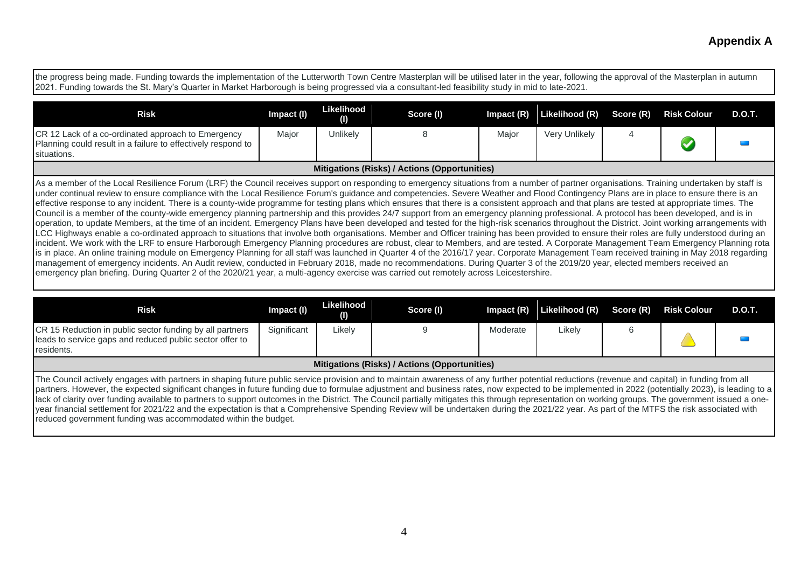the progress being made. Funding towards the implementation of the Lutterworth Town Centre Masterplan will be utilised later in the year, following the approval of the Masterplan in autumn 2021. Funding towards the St. Mary's Quarter in Market Harborough is being progressed via a consultant-led feasibility study in mid to late-2021.

| <b>Risk</b>                                                                                                                                                                                                                                                                                                                                                                          | Impact (I) | Likelihood<br>(1) | Score (I)                                     |       | Impact (R) Likelihood (R) Score (R) |  | <b>Risk Colour</b> | D.O.T. |
|--------------------------------------------------------------------------------------------------------------------------------------------------------------------------------------------------------------------------------------------------------------------------------------------------------------------------------------------------------------------------------------|------------|-------------------|-----------------------------------------------|-------|-------------------------------------|--|--------------------|--------|
| ICR 12 Lack of a co-ordinated approach to Emergency<br>Planning could result in a failure to effectively respond to<br>situations.                                                                                                                                                                                                                                                   | Major      | Unlikelv          |                                               | Major | Very Unlikely                       |  |                    |        |
|                                                                                                                                                                                                                                                                                                                                                                                      |            |                   | Mitigations (Risks) / Actions (Opportunities) |       |                                     |  |                    |        |
| As a member of the Local Resilience Forum (LRF) the Council receives support on responding to emergency situations from a number of partner organisations. Training undertaken by staff is<br>under continual review to ensure compliance with the Local Resilience Forum's guidance and competencies. Severe Weather and Flood Contingency Plans are in place to ensure there is an |            |                   |                                               |       |                                     |  |                    |        |

effective response to any incident. There is a county-wide programme for testing plans which ensures that there is a consistent approach and that plans are tested at appropriate times. The Council is a member of the county-wide emergency planning partnership and this provides 24/7 support from an emergency planning professional. A protocol has been developed, and is in operation, to update Members, at the time of an incident. Emergency Plans have been developed and tested for the high-risk scenarios throughout the District. Joint working arrangements with LCC Highways enable a co-ordinated approach to situations that involve both organisations. Member and Officer training has been provided to ensure their roles are fully understood during an incident. We work with the LRF to ensure Harborough Emergency Planning procedures are robust, clear to Members, and are tested. A Corporate Management Team Emergency Planning rota is in place. An online training module on Emergency Planning for all staff was launched in Quarter 4 of the 2016/17 year. Corporate Management Team received training in May 2018 regarding management of emergency incidents. An Audit review, conducted in February 2018, made no recommendations. During Quarter 3 of the 2019/20 year, elected members received an emergency plan briefing. During Quarter 2 of the 2020/21 year, a multi-agency exercise was carried out remotely across Leicestershire.

| <b>Risk</b>                                                                                                                                                                                                                                                                                                                                                                                                                                                                                                                                                                                                                                                                                                                                                                                                                                                             | Impact (I)  | Likelihood<br>(1) | Score (I)                                     | Impact $(R)$ | Likelihood (R) | Score (R) | <b>Risk Colour</b> | <b>D.O.T.</b> |
|-------------------------------------------------------------------------------------------------------------------------------------------------------------------------------------------------------------------------------------------------------------------------------------------------------------------------------------------------------------------------------------------------------------------------------------------------------------------------------------------------------------------------------------------------------------------------------------------------------------------------------------------------------------------------------------------------------------------------------------------------------------------------------------------------------------------------------------------------------------------------|-------------|-------------------|-----------------------------------------------|--------------|----------------|-----------|--------------------|---------------|
| <b>CR 15 Reduction in public sector funding by all partners</b><br>leads to service gaps and reduced public sector offer to<br>residents.                                                                                                                                                                                                                                                                                                                                                                                                                                                                                                                                                                                                                                                                                                                               | Significant | Likely            |                                               | Moderate     | Likely         |           |                    |               |
|                                                                                                                                                                                                                                                                                                                                                                                                                                                                                                                                                                                                                                                                                                                                                                                                                                                                         |             |                   | Mitigations (Risks) / Actions (Opportunities) |              |                |           |                    |               |
| The Council actively engages with partners in shaping future public service provision and to maintain awareness of any further potential reductions (revenue and capital) in funding from all<br>partners. However, the expected significant changes in future funding due to formulae adjustment and business rates, now expected to be implemented in 2022 (potentially 2023), is leading to a<br>lack of clarity over funding available to partners to support outcomes in the District. The Council partially mitigates this through representation on working groups. The government issued a one-<br>year financial settlement for 2021/22 and the expectation is that a Comprehensive Spending Review will be undertaken during the 2021/22 year. As part of the MTFS the risk associated with<br>reduced government funding was accommodated within the budget. |             |                   |                                               |              |                |           |                    |               |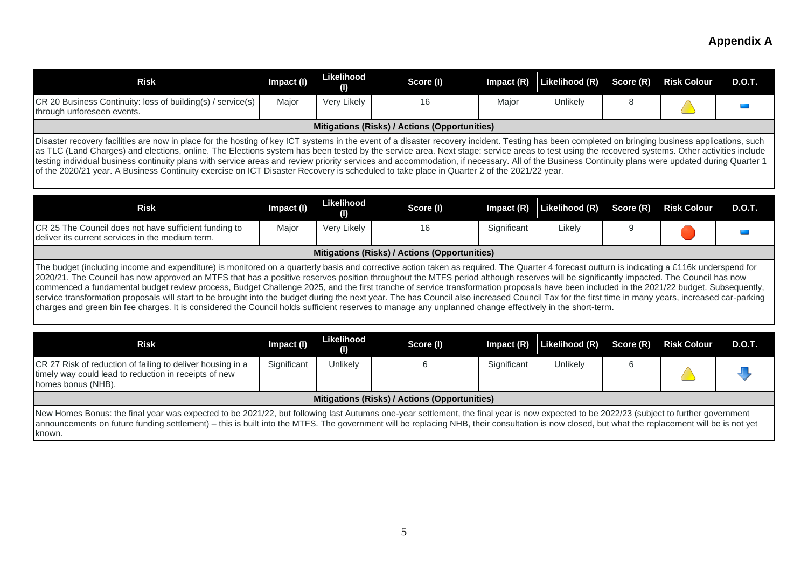| <b>Risk</b>                                                                                                                                                                                                                                                                                                                                                                                                                                                                                                                                                                                                                                                                                                                                          | Impact (I) | Likelihood<br>O)         | Score (I)                                     | $Im$ pact $(R)$ | Likelihood (R) | Score (R) | <b>Risk Colour</b> | D.O.T.        |  |  |
|------------------------------------------------------------------------------------------------------------------------------------------------------------------------------------------------------------------------------------------------------------------------------------------------------------------------------------------------------------------------------------------------------------------------------------------------------------------------------------------------------------------------------------------------------------------------------------------------------------------------------------------------------------------------------------------------------------------------------------------------------|------------|--------------------------|-----------------------------------------------|-----------------|----------------|-----------|--------------------|---------------|--|--|
| CR 20 Business Continuity: loss of building(s) / service(s)<br>through unforeseen events.                                                                                                                                                                                                                                                                                                                                                                                                                                                                                                                                                                                                                                                            | Major      | Very Likely              | 16                                            | Major           | Unlikely       | 8         |                    |               |  |  |
|                                                                                                                                                                                                                                                                                                                                                                                                                                                                                                                                                                                                                                                                                                                                                      |            |                          | Mitigations (Risks) / Actions (Opportunities) |                 |                |           |                    |               |  |  |
| Disaster recovery facilities are now in place for the hosting of key ICT systems in the event of a disaster recovery incident. Testing has been completed on bringing business applications, such<br>as TLC (Land Charges) and elections, online. The Elections system has been tested by the service area. Next stage: service areas to test using the recovered systems. Other activities include<br>testing individual business continuity plans with service areas and review priority services and accommodation, if necessary. All of the Business Continuity plans were updated during Quarter 1<br>of the 2020/21 year. A Business Continuity exercise on ICT Disaster Recovery is scheduled to take place in Quarter 2 of the 2021/22 year. |            |                          |                                               |                 |                |           |                    |               |  |  |
|                                                                                                                                                                                                                                                                                                                                                                                                                                                                                                                                                                                                                                                                                                                                                      |            |                          |                                               |                 |                |           |                    |               |  |  |
|                                                                                                                                                                                                                                                                                                                                                                                                                                                                                                                                                                                                                                                                                                                                                      |            |                          |                                               |                 |                |           |                    |               |  |  |
| <b>Risk</b>                                                                                                                                                                                                                                                                                                                                                                                                                                                                                                                                                                                                                                                                                                                                          | Impact (I) | <b>Likelihood</b><br>(1) | Score (I)                                     | Impact $(R)$    | Likelihood (R) | Score (R) | <b>Risk Colour</b> | <b>D.O.T.</b> |  |  |
| CR 25 The Council does not have sufficient funding to<br>deliver its current services in the medium term.                                                                                                                                                                                                                                                                                                                                                                                                                                                                                                                                                                                                                                            | Major      | Very Likely              | 16                                            | Significant     | Likely         | 9         |                    |               |  |  |
|                                                                                                                                                                                                                                                                                                                                                                                                                                                                                                                                                                                                                                                                                                                                                      |            |                          | Mitigations (Risks) / Actions (Opportunities) |                 |                |           |                    |               |  |  |

| Risk                                                                                                                                                                                                                                                                                                                                                                                      | Impact (I)  | Likelihood<br>(1) | Score (I)                                     | Impact (R)  | Likelihood (R) Score (R) | <b>Risk Colour</b> | D.O.T. |
|-------------------------------------------------------------------------------------------------------------------------------------------------------------------------------------------------------------------------------------------------------------------------------------------------------------------------------------------------------------------------------------------|-------------|-------------------|-----------------------------------------------|-------------|--------------------------|--------------------|--------|
| CR 27 Risk of reduction of failing to deliver housing in a<br>timely way could lead to reduction in receipts of new<br>homes bonus (NHB).                                                                                                                                                                                                                                                 | Significant | Unlikelv          |                                               | Significant | Unlikely                 |                    |        |
|                                                                                                                                                                                                                                                                                                                                                                                           |             |                   | Mitigations (Risks) / Actions (Opportunities) |             |                          |                    |        |
| New Homes Bonus: the final year was expected to be 2021/22, but following last Autumns one-year settlement, the final year is now expected to be 2022/23 (subject to further government<br>announcements on future funding settlement) – this is built into the MTES. The government will be replacing NHR, their consultation is now closed, but what the replacement will be is not yet |             |                   |                                               |             |                          |                    |        |

ents on future funding settlement) – this is built into the MTFS. The government will be replacing NHB, their consultation is now closed, but what the replacement will be is not yet known.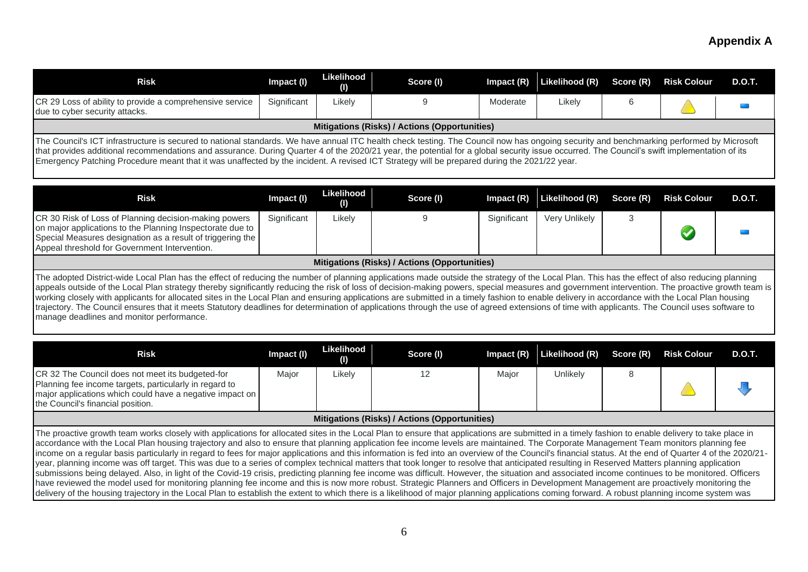| <b>Risk</b>                                                                                                                                                                                                                                                                                                                                                                                                                                                                                                                                                                                                                                                                                                                                                                                                                                                                                                                                                                                                                                                                                                                                                                                                                                                                                                                                                                                        | Impact (I)  | Likelihood<br>(I)       | Score (I)                                     | Impact (R)   | Likelihood (R) | Score (R) | <b>Risk Colour</b>   | <b>D.O.T.</b> |
|----------------------------------------------------------------------------------------------------------------------------------------------------------------------------------------------------------------------------------------------------------------------------------------------------------------------------------------------------------------------------------------------------------------------------------------------------------------------------------------------------------------------------------------------------------------------------------------------------------------------------------------------------------------------------------------------------------------------------------------------------------------------------------------------------------------------------------------------------------------------------------------------------------------------------------------------------------------------------------------------------------------------------------------------------------------------------------------------------------------------------------------------------------------------------------------------------------------------------------------------------------------------------------------------------------------------------------------------------------------------------------------------------|-------------|-------------------------|-----------------------------------------------|--------------|----------------|-----------|----------------------|---------------|
| CR 29 Loss of ability to provide a comprehensive service<br>due to cyber security attacks.                                                                                                                                                                                                                                                                                                                                                                                                                                                                                                                                                                                                                                                                                                                                                                                                                                                                                                                                                                                                                                                                                                                                                                                                                                                                                                         | Significant | Likely                  | 9                                             | Moderate     | Likely         | 6         |                      |               |
|                                                                                                                                                                                                                                                                                                                                                                                                                                                                                                                                                                                                                                                                                                                                                                                                                                                                                                                                                                                                                                                                                                                                                                                                                                                                                                                                                                                                    |             |                         | Mitigations (Risks) / Actions (Opportunities) |              |                |           |                      |               |
| The Council's ICT infrastructure is secured to national standards. We have annual ITC health check testing. The Council now has ongoing security and benchmarking performed by Microsoft<br>that provides additional recommendations and assurance. During Quarter 4 of the 2020/21 year, the potential for a global security issue occurred. The Council's swift implementation of its<br>Emergency Patching Procedure meant that it was unaffected by the incident. A revised ICT Strategy will be prepared during the 2021/22 year.                                                                                                                                                                                                                                                                                                                                                                                                                                                                                                                                                                                                                                                                                                                                                                                                                                                             |             |                         |                                               |              |                |           |                      |               |
| <b>Risk</b>                                                                                                                                                                                                                                                                                                                                                                                                                                                                                                                                                                                                                                                                                                                                                                                                                                                                                                                                                                                                                                                                                                                                                                                                                                                                                                                                                                                        | Impact (I)  | <b>Likelihood</b><br>O) | Score (I)                                     | Impact (R)   | Likelihood (R) | Score (R) | <b>Risk Colour</b>   | <b>D.O.T.</b> |
| CR 30 Risk of Loss of Planning decision-making powers<br>on major applications to the Planning Inspectorate due to<br>Special Measures designation as a result of triggering the<br>Appeal threshold for Government Intervention.                                                                                                                                                                                                                                                                                                                                                                                                                                                                                                                                                                                                                                                                                                                                                                                                                                                                                                                                                                                                                                                                                                                                                                  | Significant | Likely                  | 9                                             | Significant  | Very Unlikely  | 3         | $\blacktriangledown$ |               |
|                                                                                                                                                                                                                                                                                                                                                                                                                                                                                                                                                                                                                                                                                                                                                                                                                                                                                                                                                                                                                                                                                                                                                                                                                                                                                                                                                                                                    |             |                         | Mitigations (Risks) / Actions (Opportunities) |              |                |           |                      |               |
| The adopted District-wide Local Plan has the effect of reducing the number of planning applications made outside the strategy of the Local Plan. This has the effect of also reducing planning<br>appeals outside of the Local Plan strategy thereby significantly reducing the risk of loss of decision-making powers, special measures and government intervention. The proactive growth team is<br>working closely with applicants for allocated sites in the Local Plan and ensuring applications are submitted in a timely fashion to enable delivery in accordance with the Local Plan housing<br>trajectory. The Council ensures that it meets Statutory deadlines for determination of applications through the use of agreed extensions of time with applicants. The Council uses software to<br>manage deadlines and monitor performance.                                                                                                                                                                                                                                                                                                                                                                                                                                                                                                                                                |             |                         |                                               |              |                |           |                      |               |
| <b>Risk</b>                                                                                                                                                                                                                                                                                                                                                                                                                                                                                                                                                                                                                                                                                                                                                                                                                                                                                                                                                                                                                                                                                                                                                                                                                                                                                                                                                                                        | Impact (I)  | Likelihood<br>(1)       | Score (I)                                     | Impact $(R)$ | Likelihood (R) | Score (R) | <b>Risk Colour</b>   | <b>D.O.T.</b> |
| CR 32 The Council does not meet its budgeted-for<br>Planning fee income targets, particularly in regard to<br>major applications which could have a negative impact on<br>the Council's financial position.                                                                                                                                                                                                                                                                                                                                                                                                                                                                                                                                                                                                                                                                                                                                                                                                                                                                                                                                                                                                                                                                                                                                                                                        | Major       | Likely                  | 12                                            | Major        | Unlikely       | 8         |                      |               |
|                                                                                                                                                                                                                                                                                                                                                                                                                                                                                                                                                                                                                                                                                                                                                                                                                                                                                                                                                                                                                                                                                                                                                                                                                                                                                                                                                                                                    |             |                         | Mitigations (Risks) / Actions (Opportunities) |              |                |           |                      |               |
| The proactive growth team works closely with applications for allocated sites in the Local Plan to ensure that applications are submitted in a timely fashion to enable delivery to take place in<br>accordance with the Local Plan housing trajectory and also to ensure that planning application fee income levels are maintained. The Corporate Management Team monitors planning fee<br>income on a regular basis particularly in regard to fees for major applications and this information is fed into an overview of the Council's financial status. At the end of Quarter 4 of the 2020/21-<br>year, planning income was off target. This was due to a series of complex technical matters that took longer to resolve that anticipated resulting in Reserved Matters planning application<br>submissions being delayed. Also, in light of the Covid-19 crisis, predicting planning fee income was difficult. However, the situation and associated income continues to be monitored. Officers<br>have reviewed the model used for monitoring planning fee income and this is now more robust. Strategic Planners and Officers in Development Management are proactively monitoring the<br>delivery of the housing trajectory in the Local Plan to establish the extent to which there is a likelihood of major planning applications coming forward. A robust planning income system was |             |                         |                                               |              |                |           |                      |               |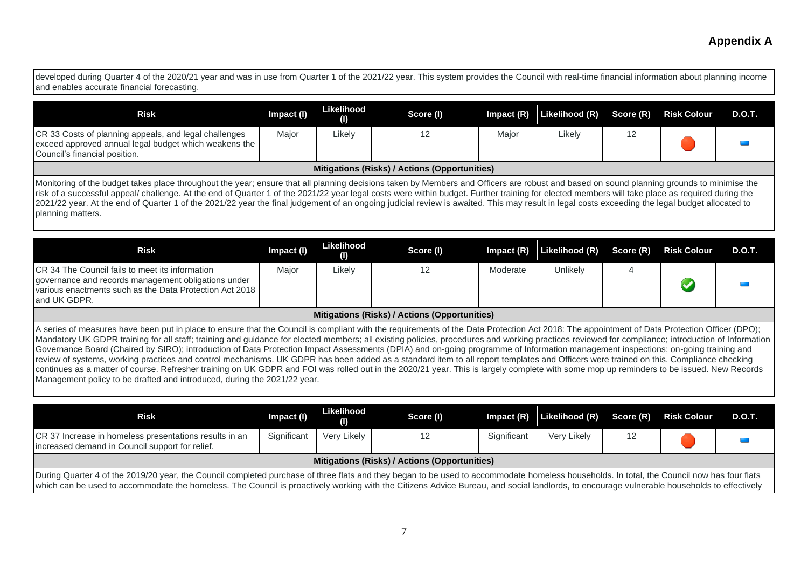developed during Quarter 4 of the 2020/21 year and was in use from Quarter 1 of the 2021/22 year. This system provides the Council with real-time financial information about planning income and enables accurate financial forecasting.

| <b>Risk</b>                                                                                                                                                                                                                                                                                                                                                                                  | Impact (I) | Likelihood<br>(1) | Score (I)                                     | $Im$ pact $(R)$ | Likelihood (R) Score (R) |  | <b>Risk Colour</b> | D.O.T. |
|----------------------------------------------------------------------------------------------------------------------------------------------------------------------------------------------------------------------------------------------------------------------------------------------------------------------------------------------------------------------------------------------|------------|-------------------|-----------------------------------------------|-----------------|--------------------------|--|--------------------|--------|
| CR 33 Costs of planning appeals, and legal challenges<br>exceed approved annual legal budget which weakens the<br>Council's financial position.                                                                                                                                                                                                                                              | Major      | ∟ikely            |                                               | Major           | Likely                   |  |                    |        |
|                                                                                                                                                                                                                                                                                                                                                                                              |            |                   | Mitigations (Risks) / Actions (Opportunities) |                 |                          |  |                    |        |
| Monitoring of the budget takes place throughout the year; ensure that all planning decisions taken by Members and Officers are robust and based on sound planning grounds to minimise the<br>risk of a successful appeal/ challenge. At the end of Quarter 1 of the 2021/22 year legal costs were within budget. Further training for elected members will take place as required during the |            |                   |                                               |                 |                          |  |                    |        |

risk of a successful appeal/ challenge. At the end of Quarter 1 of the 2021/22 year legal costs were within budget. Further training for elected members will take place as required during the 2021/22 year. At the end of Quarter 1 of the 2021/22 year the final judgement of an ongoing judicial review is awaited. This may result in legal costs exceeding the legal budget allocated to planning matters.

| <b>Risk</b>                                                                                                                                                                                                                                                                                                                                                                                                                                                                                                                                                                                                                                                                                                                                                                                                                                                                                                                                                                                                                                             | Impact (I) | Likelihood<br>O) | Score (I) | $Im$ pact $(R)$ | Likelihood (R) | Score (R) | <b>Risk Colour</b> | <b>D.O.T.</b> |
|---------------------------------------------------------------------------------------------------------------------------------------------------------------------------------------------------------------------------------------------------------------------------------------------------------------------------------------------------------------------------------------------------------------------------------------------------------------------------------------------------------------------------------------------------------------------------------------------------------------------------------------------------------------------------------------------------------------------------------------------------------------------------------------------------------------------------------------------------------------------------------------------------------------------------------------------------------------------------------------------------------------------------------------------------------|------------|------------------|-----------|-----------------|----------------|-----------|--------------------|---------------|
| ICR 34 The Council fails to meet its information<br>governance and records management obligations under<br>various enactments such as the Data Protection Act 2018<br>and UK GDPR.                                                                                                                                                                                                                                                                                                                                                                                                                                                                                                                                                                                                                                                                                                                                                                                                                                                                      | Major      | Likely           | 12        | Moderate        | Unlikelv       |           |                    |               |
| Mitigations (Risks) / Actions (Opportunities)                                                                                                                                                                                                                                                                                                                                                                                                                                                                                                                                                                                                                                                                                                                                                                                                                                                                                                                                                                                                           |            |                  |           |                 |                |           |                    |               |
| A series of measures have been put in place to ensure that the Council is compliant with the requirements of the Data Protection Act 2018: The appointment of Data Protection Officer (DPO);<br>Mandatory UK GDPR training for all staff; training and guidance for elected members; all existing policies, procedures and working practices reviewed for compliance; introduction of Information<br>Governance Board (Chaired by SIRO); introduction of Data Protection Impact Assessments (DPIA) and on-going programme of Information management inspections; on-going training and<br>review of systems, working practices and control mechanisms. UK GDPR has been added as a standard item to all report templates and Officers were trained on this. Compliance checking<br>continues as a matter of course. Refresher training on UK GDPR and FOI was rolled out in the 2020/21 year. This is largely complete with some mop up reminders to be issued. New Records<br>Management policy to be drafted and introduced, during the 2021/22 year. |            |                  |           |                 |                |           |                    |               |

| Risk                                                                                                                                                                                                                                                                                                                                                                                     | Impact (I)  | Likelihood<br>(1) | Score (I) | Impact $(R)$ | Likelihood (R) Score (R) |  | <b>Risk Colour</b> | D.O.T. |  |
|------------------------------------------------------------------------------------------------------------------------------------------------------------------------------------------------------------------------------------------------------------------------------------------------------------------------------------------------------------------------------------------|-------------|-------------------|-----------|--------------|--------------------------|--|--------------------|--------|--|
| CR 37 Increase in homeless presentations results in an<br>increased demand in Council support for relief.                                                                                                                                                                                                                                                                                | Significant | Very Likely       |           | Significant  | Very Likely              |  |                    |        |  |
| Mitigations (Risks) / Actions (Opportunities)                                                                                                                                                                                                                                                                                                                                            |             |                   |           |              |                          |  |                    |        |  |
| During Quarter 4 of the 2019/20 year, the Council completed purchase of three flats and they began to be used to accommodate homeless households. In total, the Council now has four flats<br>which can be used to accommodate the homeless. The Council is proactively working with the Citizens Advice Bureau, and social landlords, to encourage vulnerable households to effectively |             |                   |           |              |                          |  |                    |        |  |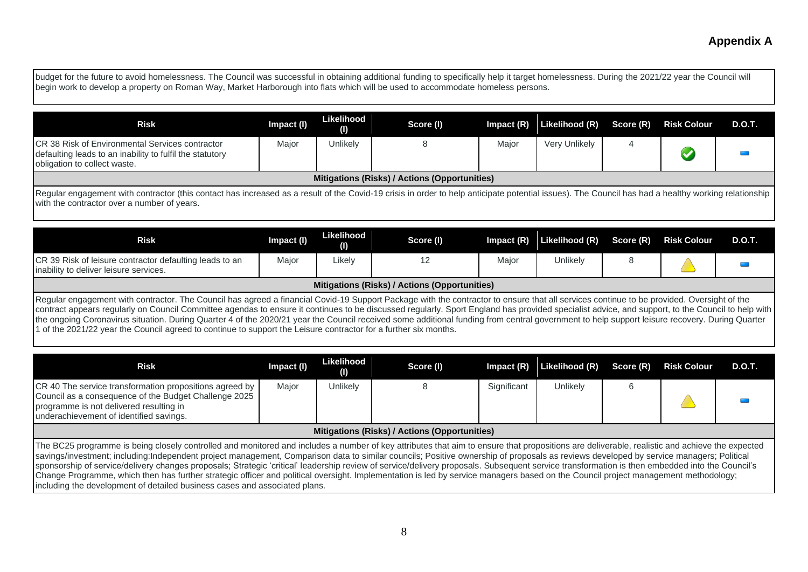| budget for the future to avoid homelessness. The Council was successful in obtaining additional funding to specifically help it target homelessness. During the 2021/22 year the Council will<br>begin work to develop a property on Roman Way, Market Harborough into flats which will be used to accommodate homeless persons. |            |                   |                                               |              |                |           |                      |               |  |
|----------------------------------------------------------------------------------------------------------------------------------------------------------------------------------------------------------------------------------------------------------------------------------------------------------------------------------|------------|-------------------|-----------------------------------------------|--------------|----------------|-----------|----------------------|---------------|--|
| <b>Risk</b>                                                                                                                                                                                                                                                                                                                      | Impact (I) | Likelihood<br>(1) | Score (I)                                     | Impact $(R)$ | Likelihood (R) | Score (R) | <b>Risk Colour</b>   | <b>D.O.T.</b> |  |
| ICR 38 Risk of Environmental Services contractor<br>defaulting leads to an inability to fulfil the statutory<br>obligation to collect waste.                                                                                                                                                                                     | Major      | Unlikely          | 8                                             | Major        | Very Unlikely  | 4         | $\blacktriangledown$ |               |  |
|                                                                                                                                                                                                                                                                                                                                  |            |                   | Mitigations (Risks) / Actions (Opportunities) |              |                |           |                      |               |  |
| Regular engagement with contractor (this contact has increased as a result of the Covid-19 crisis in order to help anticipate potential issues). The Council has had a healthy working relationship<br>with the contractor over a number of years.                                                                               |            |                   |                                               |              |                |           |                      |               |  |
| <b>Risk</b>                                                                                                                                                                                                                                                                                                                      | Impact (I) | Likelihood<br>(1) | Score (I)                                     | Impact $(R)$ | Likelihood (R) | Score (R) | <b>Risk Colour</b>   | D.O.T.        |  |
| CR 39 Risk of leisure contractor defaulting leads to an<br>inability to deliver leisure services.                                                                                                                                                                                                                                | Major      | Likely            | 12                                            | Major        | Unlikely       | 8         |                      |               |  |

#### **Mitigations (Risks) / Actions (Opportunities)**

Regular engagement with contractor. The Council has agreed a financial Covid-19 Support Package with the contractor to ensure that all services continue to be provided. Oversight of the contract appears regularly on Council Committee agendas to ensure it continues to be discussed regularly. Sport England has provided specialist advice, and support, to the Council to help with the ongoing Coronavirus situation. During Quarter 4 of the 2020/21 year the Council received some additional funding from central government to help support leisure recovery. During Quarter 1 of the 2021/22 year the Council agreed to continue to support the Leisure contractor for a further six months.

| <b>Risk</b>                                                                                                                                                                                                                                                                                                                                                                                                                                                                                                                                                                                                                                                                                                                                                                     | Impact (I) | Likelihood<br>(1) | Score (I) | $Im$ pact $(R)$ | Likelihood (R) | Score (R) | <b>Risk Colour</b> | D.O.T. |
|---------------------------------------------------------------------------------------------------------------------------------------------------------------------------------------------------------------------------------------------------------------------------------------------------------------------------------------------------------------------------------------------------------------------------------------------------------------------------------------------------------------------------------------------------------------------------------------------------------------------------------------------------------------------------------------------------------------------------------------------------------------------------------|------------|-------------------|-----------|-----------------|----------------|-----------|--------------------|--------|
| CR 40 The service transformation propositions agreed by<br>Council as a consequence of the Budget Challenge 2025<br>programme is not delivered resulting in<br>underachievement of identified savings.                                                                                                                                                                                                                                                                                                                                                                                                                                                                                                                                                                          | Major      | <b>Unlikely</b>   |           | Significant     | Unlikely       |           |                    |        |
| Mitigations (Risks) / Actions (Opportunities)                                                                                                                                                                                                                                                                                                                                                                                                                                                                                                                                                                                                                                                                                                                                   |            |                   |           |                 |                |           |                    |        |
| The BC25 programme is being closely controlled and monitored and includes a number of key attributes that aim to ensure that propositions are deliverable, realistic and achieve the expected<br>savings/investment; including:Independent project management, Comparison data to similar councils; Positive ownership of proposals as reviews developed by service managers; Political<br>sponsorship of service/delivery changes proposals; Strategic 'critical' leadership review of service/delivery proposals. Subsequent service transformation is then embedded into the Council's<br>Change Programme, which then has further strategic officer and political oversight. Implementation is led by service managers based on the Council project management methodology; |            |                   |           |                 |                |           |                    |        |

including the development of detailed business cases and associated plans.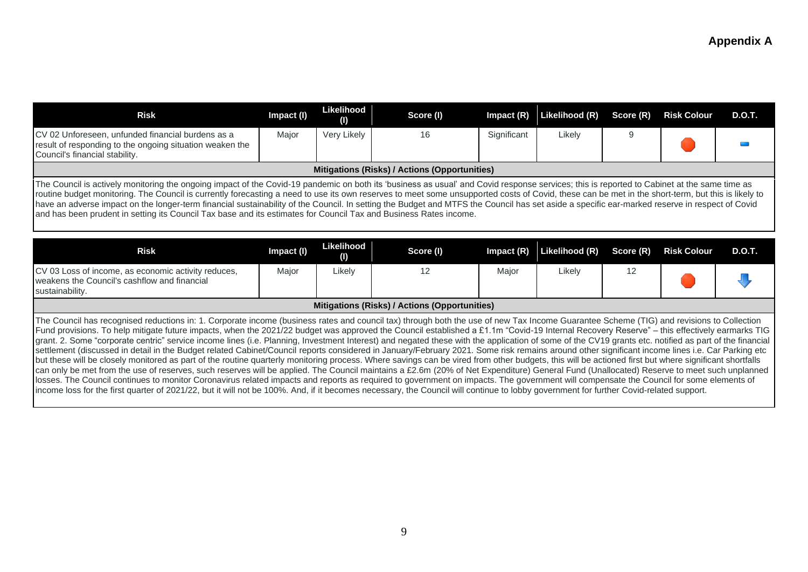| <b>Risk</b>                                                                                                                                                                                                                                                                                                                                                                                                                                                                                                                                                                                                                                                                                                            | Impact (I) | Likelihood<br>O)        | Score (I)                                            | Impact $(R)$ | Likelihood (R) | Score (R) | <b>Risk Colour</b> | <b>D.O.T.</b> |
|------------------------------------------------------------------------------------------------------------------------------------------------------------------------------------------------------------------------------------------------------------------------------------------------------------------------------------------------------------------------------------------------------------------------------------------------------------------------------------------------------------------------------------------------------------------------------------------------------------------------------------------------------------------------------------------------------------------------|------------|-------------------------|------------------------------------------------------|--------------|----------------|-----------|--------------------|---------------|
| CV 02 Unforeseen, unfunded financial burdens as a<br>result of responding to the ongoing situation weaken the<br>Council's financial stability.                                                                                                                                                                                                                                                                                                                                                                                                                                                                                                                                                                        | Major      | Very Likely             | 16                                                   | Significant  | Likely         | 9         |                    |               |
|                                                                                                                                                                                                                                                                                                                                                                                                                                                                                                                                                                                                                                                                                                                        |            |                         | <b>Mitigations (Risks) / Actions (Opportunities)</b> |              |                |           |                    |               |
| The Council is actively monitoring the ongoing impact of the Covid-19 pandemic on both its 'business as usual' and Covid response services; this is reported to Cabinet at the same time as<br>routine budget monitoring. The Council is currently forecasting a need to use its own reserves to meet some unsupported costs of Covid, these can be met in the short-term, but this is likely to<br>have an adverse impact on the longer-term financial sustainability of the Council. In setting the Budget and MTFS the Council has set aside a specific ear-marked reserve in respect of Covid<br>and has been prudent in setting its Council Tax base and its estimates for Council Tax and Business Rates income. |            |                         |                                                      |              |                |           |                    |               |
| <b>Risk</b>                                                                                                                                                                                                                                                                                                                                                                                                                                                                                                                                                                                                                                                                                                            | Impact (I) | <b>Likelihood</b><br>O) | Score (I)                                            | Impact $(R)$ | Likelihood (R) | Score (R) | <b>Risk Colour</b> | <b>D.O.T.</b> |
| CV 03 Loss of income, as economic activity reduces,<br>weakens the Council's cashflow and financial<br>sustainability.                                                                                                                                                                                                                                                                                                                                                                                                                                                                                                                                                                                                 | Major      | Likely                  | 12                                                   | Major        | Likely         | 12        |                    |               |

#### **Mitigations (Risks) / Actions (Opportunities)**

The Council has recognised reductions in: 1. Corporate income (business rates and council tax) through both the use of new Tax Income Guarantee Scheme (TIG) and revisions to Collection Fund provisions. To help mitigate future impacts, when the 2021/22 budget was approved the Council established a £1.1m "Covid-19 Internal Recovery Reserve" – this effectively earmarks TIG Igrant. 2. Some "corporate centric" service income lines (i.e. Planning, Investment Interest) and negated these with the application of some of the CV19 grants etc. notified as part of the financial settlement (discussed in detail in the Budget related Cabinet/Council reports considered in January/February 2021. Some risk remains around other significant income lines i.e. Car Parking etc but these will be closely monitored as part of the routine quarterly monitoring process. Where savings can be vired from other budgets, this will be actioned first but where significant shortfalls can only be met from the use of reserves, such reserves will be applied. The Council maintains a £2.6m (20% of Net Expenditure) General Fund (Unallocated) Reserve to meet such unplanned losses. The Council continues to monitor Coronavirus related impacts and reports as required to government on impacts. The government will compensate the Council for some elements of income loss for the first quarter of 2021/22, but it will not be 100%. And, if it becomes necessary, the Council will continue to lobby government for further Covid-related support.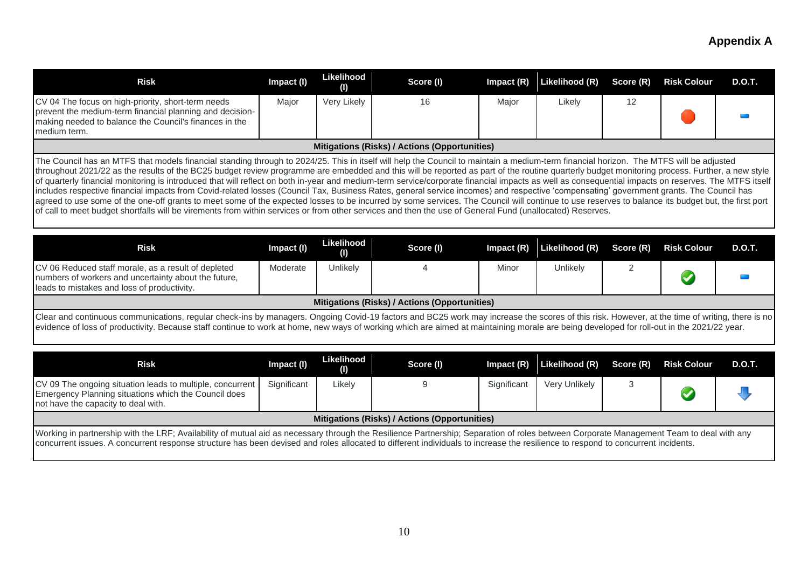| <b>Risk</b>                                                                                                                                                                                                                                                                                                                                                                                                                                                                                                                                                                                                                                                                                                                                                                                                                                                                                                                                                                                                                                                                                                                                                | Impact (I)                                                                                                                                                                                                                                                                                                                                                                                 | Likelihood<br>(1) | Score (I)                                     | Impact (R)  | Likelihood (R) | Score (R) | <b>Risk Colour</b> | <b>D.O.T.</b> |  |  |
|------------------------------------------------------------------------------------------------------------------------------------------------------------------------------------------------------------------------------------------------------------------------------------------------------------------------------------------------------------------------------------------------------------------------------------------------------------------------------------------------------------------------------------------------------------------------------------------------------------------------------------------------------------------------------------------------------------------------------------------------------------------------------------------------------------------------------------------------------------------------------------------------------------------------------------------------------------------------------------------------------------------------------------------------------------------------------------------------------------------------------------------------------------|--------------------------------------------------------------------------------------------------------------------------------------------------------------------------------------------------------------------------------------------------------------------------------------------------------------------------------------------------------------------------------------------|-------------------|-----------------------------------------------|-------------|----------------|-----------|--------------------|---------------|--|--|
| CV 04 The focus on high-priority, short-term needs<br>prevent the medium-term financial planning and decision-<br>making needed to balance the Council's finances in the<br>medium term.                                                                                                                                                                                                                                                                                                                                                                                                                                                                                                                                                                                                                                                                                                                                                                                                                                                                                                                                                                   | Major                                                                                                                                                                                                                                                                                                                                                                                      | Very Likely       | 16                                            | Major       | Likely         | 12        |                    |               |  |  |
|                                                                                                                                                                                                                                                                                                                                                                                                                                                                                                                                                                                                                                                                                                                                                                                                                                                                                                                                                                                                                                                                                                                                                            |                                                                                                                                                                                                                                                                                                                                                                                            |                   | Mitigations (Risks) / Actions (Opportunities) |             |                |           |                    |               |  |  |
| The Council has an MTFS that models financial standing through to 2024/25. This in itself will help the Council to maintain a medium-term financial horizon. The MTFS will be adjusted<br>throughout 2021/22 as the results of the BC25 budget review programme are embedded and this will be reported as part of the routine quarterly budget monitoring process. Further, a new style<br>of quarterly financial monitoring is introduced that will reflect on both in-year and medium-term service/corporate financial impacts as well as consequential impacts on reserves. The MTFS itself<br>includes respective financial impacts from Covid-related losses (Council Tax, Business Rates, general service incomes) and respective 'compensating' government grants. The Council has<br>agreed to use some of the one-off grants to meet some of the expected losses to be incurred by some services. The Council will continue to use reserves to balance its budget but, the first port<br>of call to meet budget shortfalls will be virements from within services or from other services and then the use of General Fund (unallocated) Reserves. |                                                                                                                                                                                                                                                                                                                                                                                            |                   |                                               |             |                |           |                    |               |  |  |
| <b>Risk</b>                                                                                                                                                                                                                                                                                                                                                                                                                                                                                                                                                                                                                                                                                                                                                                                                                                                                                                                                                                                                                                                                                                                                                | Impact (I)                                                                                                                                                                                                                                                                                                                                                                                 | Likelihood<br>(1) | Score (I)                                     | Impact (R)  | Likelihood (R) | Score (R) | <b>Risk Colour</b> | <b>D.O.T.</b> |  |  |
| CV 06 Reduced staff morale, as a result of depleted<br>numbers of workers and uncertainty about the future,<br>leads to mistakes and loss of productivity.                                                                                                                                                                                                                                                                                                                                                                                                                                                                                                                                                                                                                                                                                                                                                                                                                                                                                                                                                                                                 | Moderate                                                                                                                                                                                                                                                                                                                                                                                   | Unlikely          | 4                                             | Minor       | Unlikely       | 2         |                    |               |  |  |
|                                                                                                                                                                                                                                                                                                                                                                                                                                                                                                                                                                                                                                                                                                                                                                                                                                                                                                                                                                                                                                                                                                                                                            |                                                                                                                                                                                                                                                                                                                                                                                            |                   | Mitigations (Risks) / Actions (Opportunities) |             |                |           |                    |               |  |  |
|                                                                                                                                                                                                                                                                                                                                                                                                                                                                                                                                                                                                                                                                                                                                                                                                                                                                                                                                                                                                                                                                                                                                                            | Clear and continuous communications, regular check-ins by managers. Ongoing Covid-19 factors and BC25 work may increase the scores of this risk. However, at the time of writing, there is no<br>evidence of loss of productivity. Because staff continue to work at home, new ways of working which are aimed at maintaining morale are being developed for roll-out in the 2021/22 year. |                   |                                               |             |                |           |                    |               |  |  |
| <b>Risk</b>                                                                                                                                                                                                                                                                                                                                                                                                                                                                                                                                                                                                                                                                                                                                                                                                                                                                                                                                                                                                                                                                                                                                                | Impact (I)                                                                                                                                                                                                                                                                                                                                                                                 | Likelihood<br>(1) | Score (I)                                     | Impact (R)  | Likelihood (R) | Score (R) | <b>Risk Colour</b> | <b>D.O.T.</b> |  |  |
| CV 09 The ongoing situation leads to multiple, concurrent<br>Emergency Planning situations which the Council does<br>not have the capacity to deal with.                                                                                                                                                                                                                                                                                                                                                                                                                                                                                                                                                                                                                                                                                                                                                                                                                                                                                                                                                                                                   | Significant                                                                                                                                                                                                                                                                                                                                                                                | Likely            | 9                                             | Significant | Very Unlikely  | 3         |                    |               |  |  |
|                                                                                                                                                                                                                                                                                                                                                                                                                                                                                                                                                                                                                                                                                                                                                                                                                                                                                                                                                                                                                                                                                                                                                            |                                                                                                                                                                                                                                                                                                                                                                                            |                   | Mitigations (Risks) / Actions (Opportunities) |             |                |           |                    |               |  |  |
| Working in partnership with the LRF; Availability of mutual aid as necessary through the Resilience Partnership; Separation of roles between Corporate Management Team to deal with any<br>concurrent issues. A concurrent response structure has been devised and roles allocated to different individuals to increase the resilience to respond to concurrent incidents.                                                                                                                                                                                                                                                                                                                                                                                                                                                                                                                                                                                                                                                                                                                                                                                 |                                                                                                                                                                                                                                                                                                                                                                                            |                   |                                               |             |                |           |                    |               |  |  |